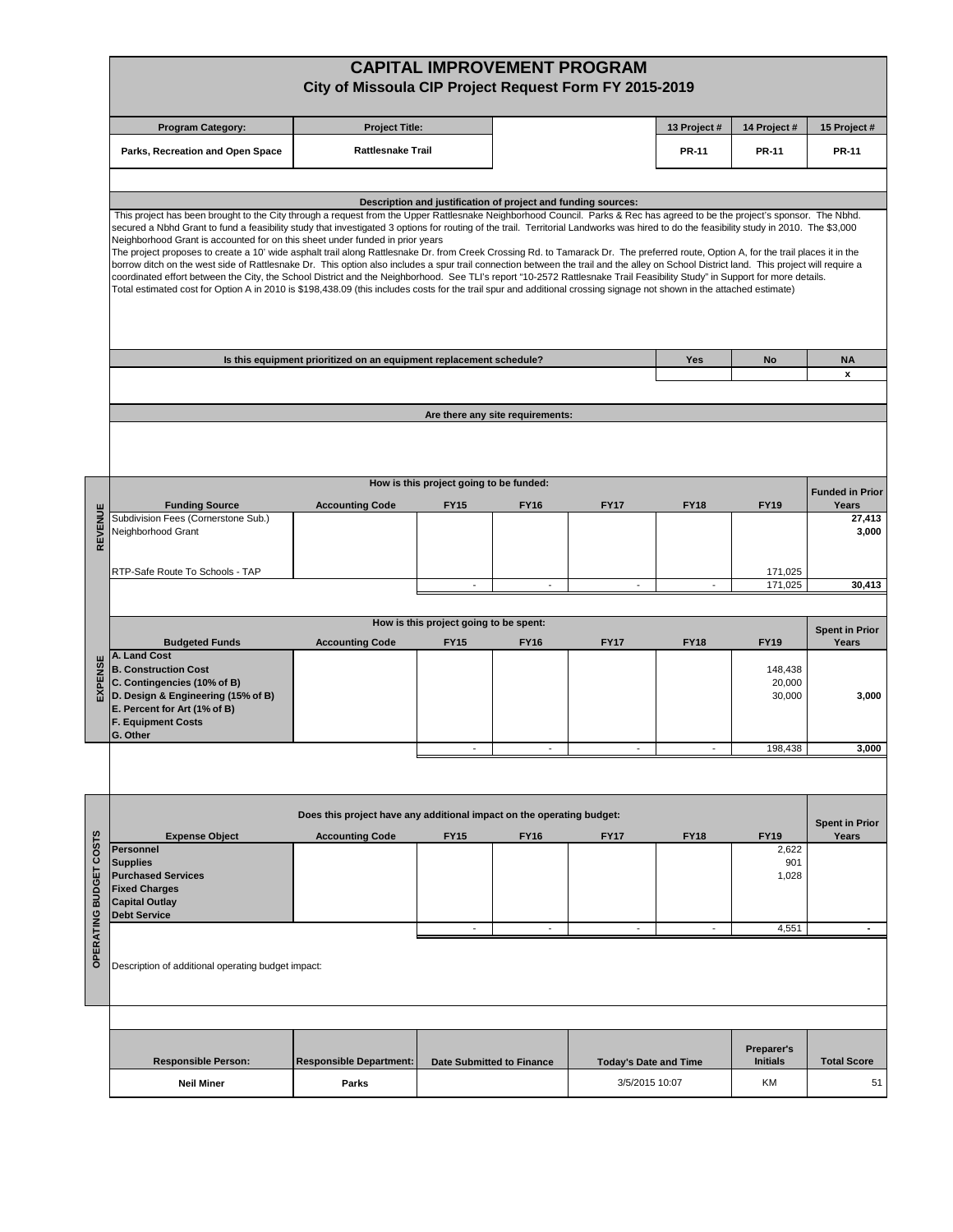|                        |                                                                                                                                                                                                                                                                                                                                                                                                                                                                                                                                                                                                                                                                                                                                                                                                                                                                                                                                                                                                                   | City of Missoula CIP Project Request Form FY 2015-2019              |                                         |                                  | <b>CAPITAL IMPROVEMENT PROGRAM</b> |              |                               |                                |  |  |  |  |  |  |
|------------------------|-------------------------------------------------------------------------------------------------------------------------------------------------------------------------------------------------------------------------------------------------------------------------------------------------------------------------------------------------------------------------------------------------------------------------------------------------------------------------------------------------------------------------------------------------------------------------------------------------------------------------------------------------------------------------------------------------------------------------------------------------------------------------------------------------------------------------------------------------------------------------------------------------------------------------------------------------------------------------------------------------------------------|---------------------------------------------------------------------|-----------------------------------------|----------------------------------|------------------------------------|--------------|-------------------------------|--------------------------------|--|--|--|--|--|--|
|                        | <b>Program Category:</b>                                                                                                                                                                                                                                                                                                                                                                                                                                                                                                                                                                                                                                                                                                                                                                                                                                                                                                                                                                                          | <b>Project Title:</b>                                               |                                         |                                  |                                    | 13 Project # | 14 Project #                  | 15 Project #                   |  |  |  |  |  |  |
|                        | Parks, Recreation and Open Space                                                                                                                                                                                                                                                                                                                                                                                                                                                                                                                                                                                                                                                                                                                                                                                                                                                                                                                                                                                  | <b>Rattlesnake Trail</b>                                            |                                         |                                  |                                    | <b>PR-11</b> | <b>PR-11</b>                  | <b>PR-11</b>                   |  |  |  |  |  |  |
|                        |                                                                                                                                                                                                                                                                                                                                                                                                                                                                                                                                                                                                                                                                                                                                                                                                                                                                                                                                                                                                                   |                                                                     |                                         |                                  |                                    |              |                               |                                |  |  |  |  |  |  |
|                        | Description and justification of project and funding sources:<br>This project has been brought to the City through a request from the Upper Rattlesnake Neighborhood Council. Parks & Rec has agreed to be the project's sponsor. The Nbhd.                                                                                                                                                                                                                                                                                                                                                                                                                                                                                                                                                                                                                                                                                                                                                                       |                                                                     |                                         |                                  |                                    |              |                               |                                |  |  |  |  |  |  |
|                        | secured a Nbhd Grant to fund a feasibility study that investigated 3 options for routing of the trail. Territorial Landworks was hired to do the feasibility study in 2010. The \$3,000<br>Neighborhood Grant is accounted for on this sheet under funded in prior years<br>The project proposes to create a 10' wide asphalt trail along Rattlesnake Dr. from Creek Crossing Rd. to Tamarack Dr. The preferred route, Option A, for the trail places it in the<br>borrow ditch on the west side of Rattlesnake Dr. This option also includes a spur trail connection between the trail and the alley on School District land. This project will require a<br>coordinated effort between the City, the School District and the Neighborhood. See TLI's report "10-2572 Rattlesnake Trail Feasibility Study" in Support for more details.<br>Total estimated cost for Option A in 2010 is \$198,438.09 (this includes costs for the trail spur and additional crossing signage not shown in the attached estimate) |                                                                     |                                         |                                  |                                    |              |                               |                                |  |  |  |  |  |  |
|                        |                                                                                                                                                                                                                                                                                                                                                                                                                                                                                                                                                                                                                                                                                                                                                                                                                                                                                                                                                                                                                   | Is this equipment prioritized on an equipment replacement schedule? |                                         |                                  |                                    | Yes          | No                            | <b>NA</b>                      |  |  |  |  |  |  |
|                        |                                                                                                                                                                                                                                                                                                                                                                                                                                                                                                                                                                                                                                                                                                                                                                                                                                                                                                                                                                                                                   |                                                                     |                                         |                                  |                                    |              |                               | x                              |  |  |  |  |  |  |
|                        |                                                                                                                                                                                                                                                                                                                                                                                                                                                                                                                                                                                                                                                                                                                                                                                                                                                                                                                                                                                                                   |                                                                     |                                         | Are there any site requirements: |                                    |              |                               |                                |  |  |  |  |  |  |
|                        |                                                                                                                                                                                                                                                                                                                                                                                                                                                                                                                                                                                                                                                                                                                                                                                                                                                                                                                                                                                                                   |                                                                     |                                         |                                  |                                    |              |                               |                                |  |  |  |  |  |  |
|                        |                                                                                                                                                                                                                                                                                                                                                                                                                                                                                                                                                                                                                                                                                                                                                                                                                                                                                                                                                                                                                   |                                                                     | How is this project going to be funded: |                                  |                                    |              |                               | <b>Funded in Prior</b>         |  |  |  |  |  |  |
|                        | <b>Funding Source</b><br>Subdivision Fees (Cornerstone Sub.)                                                                                                                                                                                                                                                                                                                                                                                                                                                                                                                                                                                                                                                                                                                                                                                                                                                                                                                                                      | <b>Accounting Code</b>                                              | <b>FY15</b>                             | <b>FY16</b>                      | <b>FY17</b>                        | <b>FY18</b>  | <b>FY19</b>                   | Years<br>27,413                |  |  |  |  |  |  |
| REVENUE                | Neighborhood Grant                                                                                                                                                                                                                                                                                                                                                                                                                                                                                                                                                                                                                                                                                                                                                                                                                                                                                                                                                                                                |                                                                     |                                         |                                  |                                    |              |                               | 3,000                          |  |  |  |  |  |  |
|                        | RTP-Safe Route To Schools - TAP                                                                                                                                                                                                                                                                                                                                                                                                                                                                                                                                                                                                                                                                                                                                                                                                                                                                                                                                                                                   |                                                                     |                                         |                                  |                                    |              | 171,025                       |                                |  |  |  |  |  |  |
|                        |                                                                                                                                                                                                                                                                                                                                                                                                                                                                                                                                                                                                                                                                                                                                                                                                                                                                                                                                                                                                                   |                                                                     | $\overline{\phantom{a}}$                | $\overline{\phantom{a}}$         | $\overline{\phantom{a}}$           |              | 171,025                       | 30,413                         |  |  |  |  |  |  |
|                        | How is this project going to be spent:                                                                                                                                                                                                                                                                                                                                                                                                                                                                                                                                                                                                                                                                                                                                                                                                                                                                                                                                                                            |                                                                     |                                         |                                  |                                    |              |                               |                                |  |  |  |  |  |  |
|                        | <b>Budgeted Funds</b>                                                                                                                                                                                                                                                                                                                                                                                                                                                                                                                                                                                                                                                                                                                                                                                                                                                                                                                                                                                             | <b>Accounting Code</b>                                              | <b>FY15</b>                             | <b>FY16</b>                      | <b>FY17</b>                        | <b>FY18</b>  | <b>FY19</b>                   | <b>Spent in Prior</b><br>Years |  |  |  |  |  |  |
| EXPENSE                | A. Land Cost<br><b>B. Construction Cost</b><br>C. Contingencies (10% of B)<br>D. Design & Engineering (15% of B)<br>E. Percent for Art (1% of B)<br><b>F. Equipment Costs</b><br>G. Other                                                                                                                                                                                                                                                                                                                                                                                                                                                                                                                                                                                                                                                                                                                                                                                                                         |                                                                     |                                         |                                  |                                    |              | 148,438<br>20,000<br>30,000   | 3,000                          |  |  |  |  |  |  |
|                        |                                                                                                                                                                                                                                                                                                                                                                                                                                                                                                                                                                                                                                                                                                                                                                                                                                                                                                                                                                                                                   |                                                                     |                                         |                                  |                                    |              | 198 438                       | 3.000                          |  |  |  |  |  |  |
|                        |                                                                                                                                                                                                                                                                                                                                                                                                                                                                                                                                                                                                                                                                                                                                                                                                                                                                                                                                                                                                                   |                                                                     |                                         |                                  |                                    |              |                               |                                |  |  |  |  |  |  |
|                        | Does this project have any additional impact on the operating budget:                                                                                                                                                                                                                                                                                                                                                                                                                                                                                                                                                                                                                                                                                                                                                                                                                                                                                                                                             |                                                                     |                                         |                                  |                                    |              |                               |                                |  |  |  |  |  |  |
|                        | <b>Expense Object</b>                                                                                                                                                                                                                                                                                                                                                                                                                                                                                                                                                                                                                                                                                                                                                                                                                                                                                                                                                                                             | <b>Accounting Code</b>                                              | <b>FY15</b>                             | <b>FY16</b>                      | <b>FY17</b>                        | <b>FY18</b>  | <b>FY19</b>                   | <b>Spent in Prior</b><br>Years |  |  |  |  |  |  |
| COSTS<br><b>BUDGET</b> | <b>Personnel</b><br><b>Supplies</b><br><b>Purchased Services</b><br><b>Fixed Charges</b><br><b>Capital Outlay</b><br><b>Debt Service</b>                                                                                                                                                                                                                                                                                                                                                                                                                                                                                                                                                                                                                                                                                                                                                                                                                                                                          |                                                                     |                                         |                                  |                                    |              | 2,622<br>901<br>1,028         |                                |  |  |  |  |  |  |
|                        |                                                                                                                                                                                                                                                                                                                                                                                                                                                                                                                                                                                                                                                                                                                                                                                                                                                                                                                                                                                                                   |                                                                     | $\overline{\phantom{a}}$                | $\overline{\phantom{a}}$         |                                    |              | 4,551                         | ٠                              |  |  |  |  |  |  |
| OPERATING              | Description of additional operating budget impact:                                                                                                                                                                                                                                                                                                                                                                                                                                                                                                                                                                                                                                                                                                                                                                                                                                                                                                                                                                |                                                                     |                                         |                                  |                                    |              |                               |                                |  |  |  |  |  |  |
|                        |                                                                                                                                                                                                                                                                                                                                                                                                                                                                                                                                                                                                                                                                                                                                                                                                                                                                                                                                                                                                                   |                                                                     |                                         |                                  |                                    |              |                               |                                |  |  |  |  |  |  |
|                        | <b>Responsible Person:</b>                                                                                                                                                                                                                                                                                                                                                                                                                                                                                                                                                                                                                                                                                                                                                                                                                                                                                                                                                                                        | <b>Responsible Department:</b>                                      | <b>Date Submitted to Finance</b>        |                                  | <b>Today's Date and Time</b>       |              | Preparer's<br><b>Initials</b> | <b>Total Score</b>             |  |  |  |  |  |  |
|                        | <b>Neil Miner</b>                                                                                                                                                                                                                                                                                                                                                                                                                                                                                                                                                                                                                                                                                                                                                                                                                                                                                                                                                                                                 | Parks                                                               |                                         |                                  | 3/5/2015 10:07                     |              | KM                            | 51                             |  |  |  |  |  |  |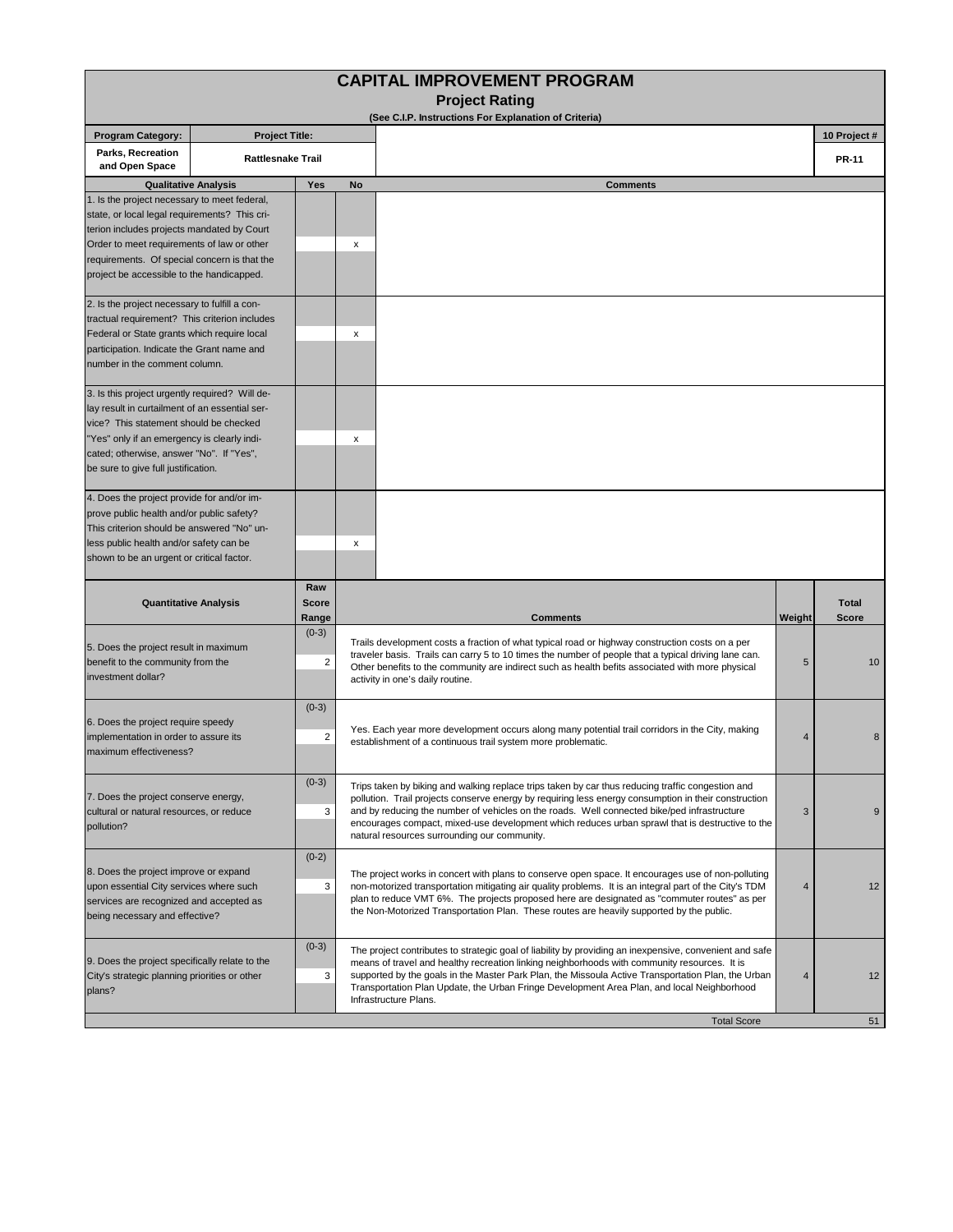|                                                                                                           |                          |                       |           | (See C.I.P. Instructions For Explanation of Criteria)                                                                                                                                                   |                |                              |
|-----------------------------------------------------------------------------------------------------------|--------------------------|-----------------------|-----------|---------------------------------------------------------------------------------------------------------------------------------------------------------------------------------------------------------|----------------|------------------------------|
| <b>Program Category:</b><br>Parks, Recreation                                                             | <b>Project Title:</b>    |                       |           |                                                                                                                                                                                                         |                | 10 Project #                 |
| and Open Space                                                                                            | <b>Rattlesnake Trail</b> |                       |           |                                                                                                                                                                                                         |                | <b>PR-11</b>                 |
| <b>Qualitative Analysis</b>                                                                               |                          | <b>Yes</b>            | <b>No</b> | <b>Comments</b>                                                                                                                                                                                         |                |                              |
| 1. Is the project necessary to meet federal,<br>state, or local legal requirements? This cri-             |                          |                       |           |                                                                                                                                                                                                         |                |                              |
| terion includes projects mandated by Court                                                                |                          |                       |           |                                                                                                                                                                                                         |                |                              |
| Order to meet requirements of law or other                                                                |                          |                       | х         |                                                                                                                                                                                                         |                |                              |
| requirements. Of special concern is that the                                                              |                          |                       |           |                                                                                                                                                                                                         |                |                              |
| project be accessible to the handicapped.                                                                 |                          |                       |           |                                                                                                                                                                                                         |                |                              |
| 2. Is the project necessary to fulfill a con-                                                             |                          |                       |           |                                                                                                                                                                                                         |                |                              |
| tractual requirement? This criterion includes                                                             |                          |                       |           |                                                                                                                                                                                                         |                |                              |
| Federal or State grants which require local                                                               |                          |                       | x         |                                                                                                                                                                                                         |                |                              |
| participation. Indicate the Grant name and                                                                |                          |                       |           |                                                                                                                                                                                                         |                |                              |
| number in the comment column.                                                                             |                          |                       |           |                                                                                                                                                                                                         |                |                              |
| 3. Is this project urgently required? Will de-                                                            |                          |                       |           |                                                                                                                                                                                                         |                |                              |
| lay result in curtailment of an essential ser-<br>vice? This statement should be checked                  |                          |                       |           |                                                                                                                                                                                                         |                |                              |
| 'Yes" only if an emergency is clearly indi-                                                               |                          |                       | X         |                                                                                                                                                                                                         |                |                              |
| cated; otherwise, answer "No". If "Yes",                                                                  |                          |                       |           |                                                                                                                                                                                                         |                |                              |
| be sure to give full justification.                                                                       |                          |                       |           |                                                                                                                                                                                                         |                |                              |
| 4. Does the project provide for and/or im-                                                                |                          |                       |           |                                                                                                                                                                                                         |                |                              |
| prove public health and/or public safety?                                                                 |                          |                       |           |                                                                                                                                                                                                         |                |                              |
| This criterion should be answered "No" un-                                                                |                          |                       |           |                                                                                                                                                                                                         |                |                              |
| less public health and/or safety can be                                                                   |                          |                       |           |                                                                                                                                                                                                         |                |                              |
|                                                                                                           |                          |                       | x         |                                                                                                                                                                                                         |                |                              |
| shown to be an urgent or critical factor.                                                                 |                          |                       |           |                                                                                                                                                                                                         |                |                              |
|                                                                                                           |                          | Raw                   |           |                                                                                                                                                                                                         |                |                              |
| <b>Quantitative Analysis</b>                                                                              |                          | <b>Score</b><br>Range |           | <b>Comments</b>                                                                                                                                                                                         | Weight         | <b>Total</b><br><b>Score</b> |
|                                                                                                           |                          | $(0-3)$               |           |                                                                                                                                                                                                         |                |                              |
| 5. Does the project result in maximum                                                                     |                          |                       |           | Trails development costs a fraction of what typical road or highway construction costs on a per<br>traveler basis. Trails can carry 5 to 10 times the number of people that a typical driving lane can. |                |                              |
| benefit to the community from the                                                                         |                          | $\overline{2}$        |           | Other benefits to the community are indirect such as health befits associated with more physical                                                                                                        | 5              | 10                           |
| investment dollar?                                                                                        |                          |                       |           | activity in one's daily routine.                                                                                                                                                                        |                |                              |
|                                                                                                           |                          | $(0-3)$               |           |                                                                                                                                                                                                         |                |                              |
| 6. Does the project require speedy                                                                        |                          |                       |           | Yes. Each year more development occurs along many potential trail corridors in the City, making                                                                                                         | $\overline{4}$ |                              |
| implementation in order to assure its<br>maximum effectiveness?                                           |                          | $\overline{2}$        |           | establishment of a continuous trail system more problematic.                                                                                                                                            |                | 8                            |
|                                                                                                           |                          |                       |           |                                                                                                                                                                                                         |                |                              |
|                                                                                                           |                          | $(0-3)$               |           | Trips taken by biking and walking replace trips taken by car thus reducing traffic congestion and                                                                                                       |                |                              |
| 7. Does the project conserve energy,<br>cultural or natural resources, or reduce                          |                          | 3                     |           | pollution. Trail projects conserve energy by requiring less energy consumption in their construction<br>and by reducing the number of vehicles on the roads. Well connected bike/ped infrastructure     | 3              | 9                            |
| pollution?                                                                                                |                          |                       |           | encourages compact, mixed-use development which reduces urban sprawl that is destructive to the                                                                                                         |                |                              |
|                                                                                                           |                          | $(0-2)$               |           | natural resources surrounding our community.                                                                                                                                                            |                |                              |
| 8. Does the project improve or expand                                                                     |                          |                       |           | The project works in concert with plans to conserve open space. It encourages use of non-polluting                                                                                                      |                |                              |
| upon essential City services where such                                                                   |                          | 3                     |           | non-motorized transportation mitigating air quality problems. It is an integral part of the City's TDM                                                                                                  | $\overline{4}$ | 12                           |
| services are recognized and accepted as                                                                   |                          |                       |           | plan to reduce VMT 6%. The projects proposed here are designated as "commuter routes" as per<br>the Non-Motorized Transportation Plan. These routes are heavily supported by the public.                |                |                              |
|                                                                                                           |                          |                       |           |                                                                                                                                                                                                         |                |                              |
| being necessary and effective?                                                                            |                          | $(0-3)$               |           | The project contributes to strategic goal of liability by providing an inexpensive, convenient and safe                                                                                                 |                |                              |
|                                                                                                           |                          |                       |           | means of travel and healthy recreation linking neighborhoods with community resources. It is                                                                                                            |                |                              |
| 9. Does the project specifically relate to the<br>City's strategic planning priorities or other<br>plans? |                          | 3                     |           | supported by the goals in the Master Park Plan, the Missoula Active Transportation Plan, the Urban<br>Transportation Plan Update, the Urban Fringe Development Area Plan, and local Neighborhood        | $\overline{4}$ | 12                           |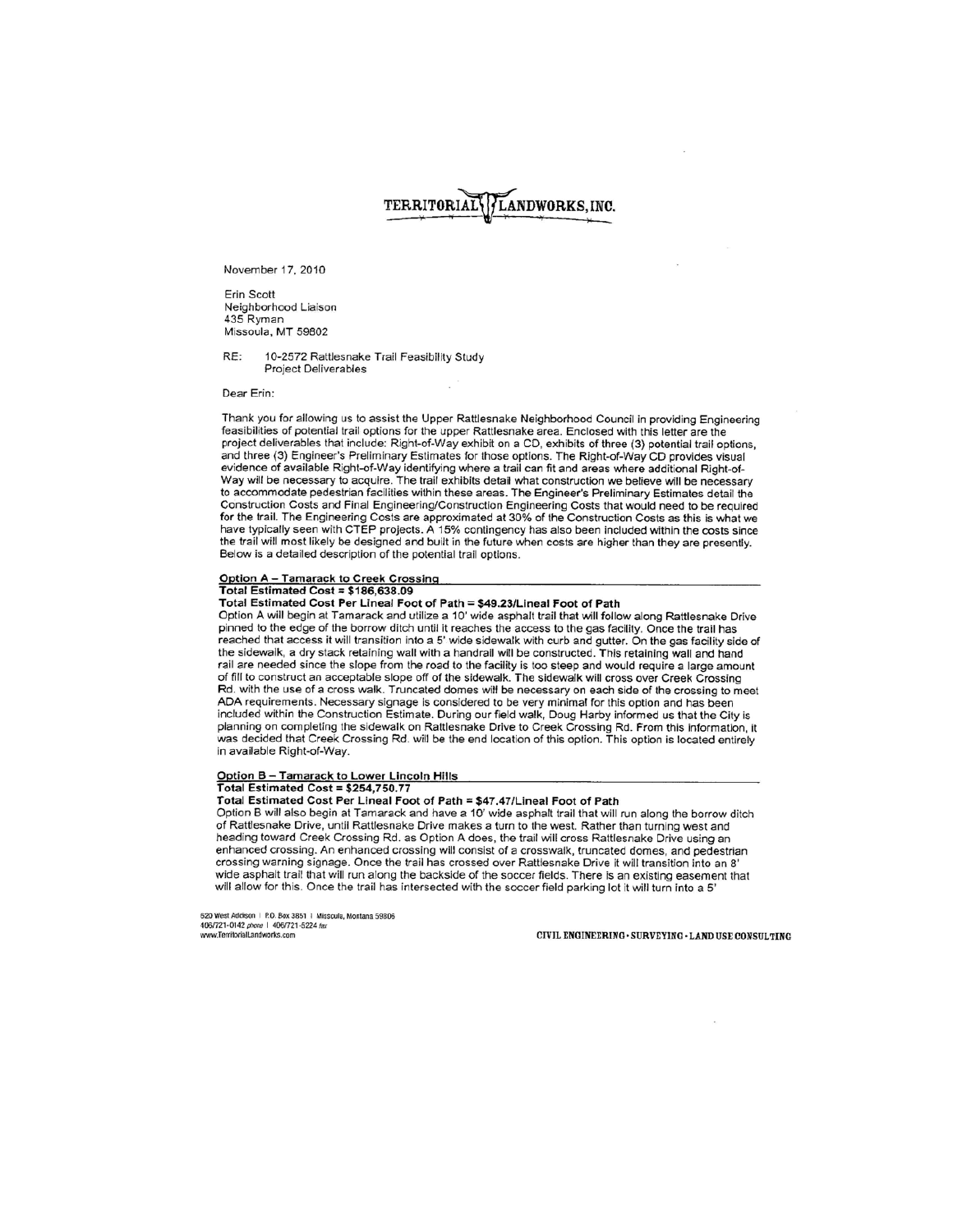# TERRITORIAL LANDWORKS, INC.

November 17, 2010

**Erin Scott** Neighborhood Liaison 435 Ryman Missoula, MT 59802

RF: 10-2572 Rattlesnake Trail Feasibility Study Project Deliverables

Dear Erin:

Thank you for allowing us to assist the Upper Rattlesnake Neighborhood Council in providing Engineering feasibilities of potential trail options for the upper Rattlesnake area. Enclosed with this letter are the project deliverables that include: Right-of-Way exhibit on a CD, exhibits of three (3) potential trail options, and three (3) Engineer's Preliminary Estimates for those options. The Right-of-Way CD provides visual evidence of available Right-of-Way identifying where a trail can fit and areas where additional Right-of-Way will be necessary to acquire. The trail exhibits detail what construction we believe will be necessary to accommodate pedestrian facilities within these areas. The Engineer's Preliminary Estimates detail the Construction Costs and Final Engineering/Construction Engineering Costs that would need to be required for the trail. The Engineering Costs are approximated at 30% of the Construction Costs as this is what we have typically seen with CTEP projects. A 15% contingency has also been included within the costs since the trail will most likely be designed and built in the future when costs are higher than they are presently. Below is a detailed description of the potential trail options.

### Option A - Tamarack to Creek Crossing

Total Estimated Cost =  $$186,638.09$ 

Total Estimated Cost Per Lineal Foot of Path = \$49.23/Lineal Foot of Path

Option A will begin at Tamarack and utilize a 10' wide asphalt trail that will follow along Rattlesnake Drive pinned to the edge of the borrow ditch until it reaches the access to the gas facility. Once the trail has reached that access it will transition into a 5' wide sidewalk with curb and gutter. On the gas facility side of the sidewalk, a dry stack retaining wall with a handrail will be constructed. This retaining wall and hand rail are needed since the slope from the road to the facility is too steep and would require a large amount of fill to construct an acceptable slope off of the sidewalk. The sidewalk will cross over Creek Crossing Rd. with the use of a cross walk. Truncated domes will be necessary on each side of the crossing to meet ADA requirements. Necessary signage is considered to be very minimal for this option and has been included within the Construction Estimate. During our field walk, Doug Harby informed us that the City is planning on completing the sidewalk on Rattlesnake Drive to Creek Crossing Rd. From this information, it was decided that Creek Crossing Rd. will be the end location of this option. This option is located entirely in available Right-of-Way.

#### Option B - Tamarack to Lower Lincoln Hills Total Estimated Cost = \$254,750.77

# Total Estimated Cost Per Lineal Foot of Path = \$47.47/Lineal Foot of Path

Option B will also begin at Tamarack and have a 10' wide asphalt trail that will run along the borrow ditch of Rattlesnake Drive, until Rattlesnake Drive makes a turn to the west. Rather than turning west and heading toward Creek Crossing Rd. as Option A does, the trail will cross Rattlesnake Drive using an enhanced crossing. An enhanced crossing will consist of a crosswalk, truncated domes, and pedestrian crossing warning signage. Once the trail has crossed over Rattlesnake Drive it will transition into an 8' wide asphalt trail that will run along the backside of the soccer fields. There is an existing easement that will allow for this. Once the trail has intersected with the soccer field parking lot it will turn into a 5'

620 West Addison | P.O. Box 3851 | Missoula, Montana 59806 406/721-0142 phone | 406/721-5224 fax www.TerritorialLandworks.com

CIVIL ENGINEERING · SURVEYING · LAND USE CONSULTING